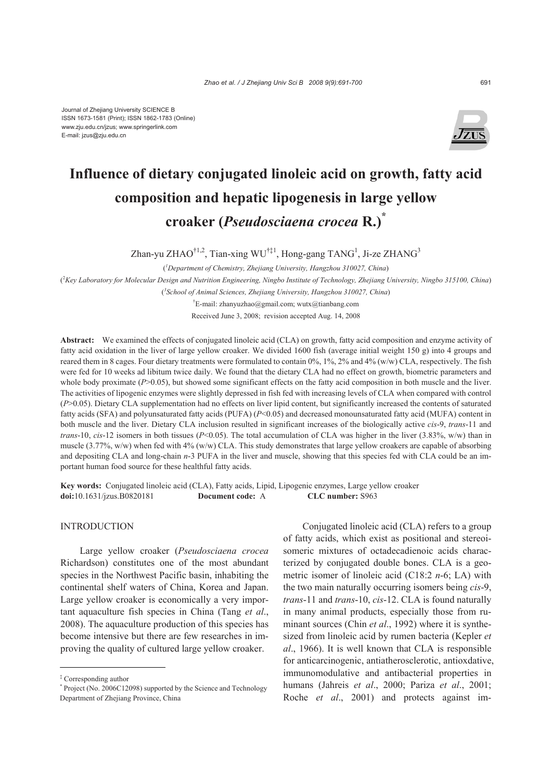

# **Influence of dietary conjugated linoleic acid on growth, fatty acid composition and hepatic lipogenesis in large yellow croaker (***Pseudosciaena crocea* **R.)\***

Zhan-yu ZHAO<sup>†1,2</sup>, Tian-xing WU<sup>†‡1</sup>, Hong-gang TANG<sup>1</sup>, Ji-ze ZHANG<sup>3</sup>

( *1 Department of Chemistry, Zhejiang University, Hangzhou 310027, China*) ( 2 *Key Laboratory for Molecular Design and Nutrition Engineering, Ningbo Institute of Technology, Zhejiang University, Ningbo 315100, China*) ( *3 School of Animal Sciences, Zhejiang University, Hangzhou 310027, China*)

† E-mail: zhanyuzhao@gmail.com; wutx@tianbang.com Received June 3, 2008; revision accepted Aug. 14, 2008

**Abstract:** We examined the effects of conjugated linoleic acid (CLA) on growth, fatty acid composition and enzyme activity of fatty acid oxidation in the liver of large yellow croaker. We divided 1600 fish (average initial weight 150 g) into 4 groups and reared them in 8 cages. Four dietary treatments were formulated to contain 0%, 1%, 2% and 4% (w/w) CLA, respectively. The fish were fed for 10 weeks ad libitum twice daily. We found that the dietary CLA had no effect on growth, biometric parameters and whole body proximate (*P*>0.05), but showed some significant effects on the fatty acid composition in both muscle and the liver. The activities of lipogenic enzymes were slightly depressed in fish fed with increasing levels of CLA when compared with control (*P*>0.05). Dietary CLA supplementation had no effects on liver lipid content, but significantly increased the contents of saturated fatty acids (SFA) and polyunsaturated fatty acids (PUFA) (*P*<0.05) and decreased monounsaturated fatty acid (MUFA) content in both muscle and the liver. Dietary CLA inclusion resulted in significant increases of the biologically active *cis*-9, *trans*-11 and *trans*-10, *cis*-12 isomers in both tissues (*P*<0.05). The total accumulation of CLA was higher in the liver (3.83%, w/w) than in muscle (3.77%, w/w) when fed with 4% (w/w) CLA. This study demonstrates that large yellow croakers are capable of absorbing and depositing CLA and long-chain *n*-3 PUFA in the liver and muscle, showing that this species fed with CLA could be an important human food source for these healthful fatty acids.

**Key words:** Conjugated linoleic acid (CLA), Fatty acids, Lipid, Lipogenic enzymes, Large yellow croaker **doi:**10.1631/jzus.B0820181 **Document code:** A **CLC number:** S963

## **INTRODUCTION**

Large yellow croaker (*Pseudosciaena crocea* Richardson) constitutes one of the most abundant species in the Northwest Pacific basin, inhabiting the continental shelf waters of China, Korea and Japan. Large yellow croaker is economically a very important aquaculture fish species in China (Tang *et al*., 2008). The aquaculture production of this species has become intensive but there are few researches in improving the quality of cultured large yellow croaker.

Conjugated linoleic acid (CLA) refers to a group of fatty acids, which exist as positional and stereoisomeric mixtures of octadecadienoic acids characterized by conjugated double bones. CLA is a geometric isomer of linoleic acid (C18:2 *n*-6; LA) with the two main naturally occurring isomers being *cis*-9, *trans*-11 and *trans*-10, *cis*-12. CLA is found naturally in many animal products, especially those from ruminant sources (Chin *et al*., 1992) where it is synthesized from linoleic acid by rumen bacteria (Kepler *et al*., 1966). It is well known that CLA is responsible for anticarcinogenic, antiatherosclerotic, antioxdative, immunomodulative and antibacterial properties in humans (Jahreis *et al*., 2000; Pariza *et al*., 2001; Roche *et al*., 2001) and protects against im-

<sup>‡</sup> Corresponding author

<sup>\*</sup> Project (No. 2006C12098) supported by the Science and Technology Department of Zhejiang Province, China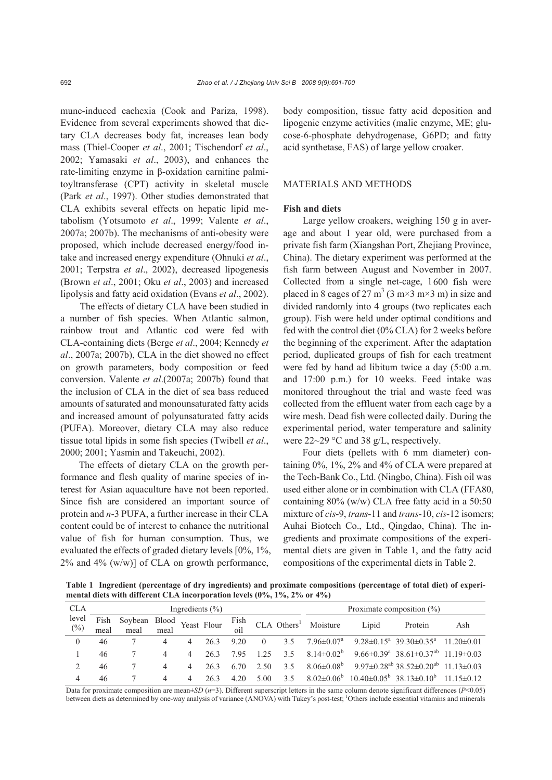mune-induced cachexia (Cook and Pariza, 1998). Evidence from several experiments showed that dietary CLA decreases body fat, increases lean body mass (Thiel-Cooper *et al*., 2001; Tischendorf *et al*., 2002; Yamasaki *et al*., 2003), and enhances the rate-limiting enzyme in β-oxidation carnitine palmitoyltransferase (CPT) activity in skeletal muscle (Park *et al*., 1997). Other studies demonstrated that CLA exhibits several effects on hepatic lipid metabolism (Yotsumoto *et al*., 1999; Valente *et al*., 2007a; 2007b). The mechanisms of anti-obesity were proposed, which include decreased energy/food intake and increased energy expenditure (Ohnuki *et al*., 2001; Terpstra *et al*., 2002), decreased lipogenesis (Brown *et al*., 2001; Oku *et al*., 2003) and increased lipolysis and fatty acid oxidation (Evans *et al*., 2002).

The effects of dietary CLA have been studied in a number of fish species. When Atlantic salmon, rainbow trout and Atlantic cod were fed with CLA-containing diets (Berge *et al*., 2004; Kennedy *et al*., 2007a; 2007b), CLA in the diet showed no effect on growth parameters, body composition or feed conversion. Valente *et al*.(2007a; 2007b) found that the inclusion of CLA in the diet of sea bass reduced amounts of saturated and monounsaturated fatty acids and increased amount of polyunsaturated fatty acids (PUFA). Moreover, dietary CLA may also reduce tissue total lipids in some fish species (Twibell *et al*., 2000; 2001; Yasmin and Takeuchi, 2002).

The effects of dietary CLA on the growth performance and flesh quality of marine species of interest for Asian aquaculture have not been reported. Since fish are considered an important source of protein and *n*-3 PUFA, a further increase in their CLA content could be of interest to enhance the nutritional value of fish for human consumption. Thus, we evaluated the effects of graded dietary levels [0%, 1%,  $2\%$  and  $4\%$  (w/w)] of CLA on growth performance,

body composition, tissue fatty acid deposition and lipogenic enzyme activities (malic enzyme, ME; glucose-6-phosphate dehydrogenase, G6PD; and fatty acid synthetase, FAS) of large yellow croaker.

#### MATERIALS AND METHODS

## **Fish and diets**

Large yellow croakers, weighing 150 g in average and about 1 year old, were purchased from a private fish farm (Xiangshan Port, Zhejiang Province, China). The dietary experiment was performed at the fish farm between August and November in 2007. Collected from a single net-cage, 1600 fish were placed in 8 cages of 27 m<sup>3</sup> (3 m×3 m×3 m) in size and divided randomly into 4 groups (two replicates each group). Fish were held under optimal conditions and fed with the control diet (0% CLA) for 2 weeks before the beginning of the experiment. After the adaptation period, duplicated groups of fish for each treatment were fed by hand ad libitum twice a day (5:00 a.m. and 17:00 p.m.) for 10 weeks. Feed intake was monitored throughout the trial and waste feed was collected from the effluent water from each cage by a wire mesh. Dead fish were collected daily. During the experimental period, water temperature and salinity were 22~29 °C and 38 g/L, respectively.

Four diets (pellets with 6 mm diameter) containing 0%, 1%, 2% and 4% of CLA were prepared at the Tech-Bank Co., Ltd. (Ningbo, China). Fish oil was used either alone or in combination with CLA (FFA80, containing 80% (w/w) CLA free fatty acid in a 50:50 mixture of *cis*-9, *trans*-11 and *trans*-10, *cis*-12 isomers; Auhai Biotech Co., Ltd., Qingdao, China). The ingredients and proximate compositions of the experimental diets are given in Table 1, and the fatty acid compositions of the experimental diets in Table 2.

**Table 1 Ingredient (percentage of dry ingredients) and proximate compositions (percentage of total diet) of experimental diets with different CLA incorporation levels (0%, 1%, 2% or 4%)**

| <b>CLA</b>      | Ingredients $(\% )$ |                                   |      |   |      |             |          | Proximate composition $(\% )$ |                                    |       |                                                                                                     |     |
|-----------------|---------------------|-----------------------------------|------|---|------|-------------|----------|-------------------------------|------------------------------------|-------|-----------------------------------------------------------------------------------------------------|-----|
| level<br>$(\%)$ | meal                | Soybean Blood Yeast Flour<br>meal | meal |   |      | Fish<br>oil |          |                               | $CLA$ Others <sup>1</sup> Moisture | Lipid | Protein                                                                                             | Ash |
| $\theta$        | 46                  |                                   | 4    |   | 26.3 | 9.20        | $\Omega$ | 3.5                           | $7.96 \pm 0.07$ <sup>a</sup>       |       | $9.28\pm0.15^a$ 39.30 $\pm$ 0.35 <sup>a</sup> 11.20 $\pm$ 0.01                                      |     |
|                 | 46                  |                                   | 4    | 4 | 263  | 795         | 125      | 35                            |                                    |       | $8.14\pm0.02^b$ 9.66 $\pm$ 0.39 <sup>a</sup> 38.61 $\pm$ 0.37 <sup>ab</sup> 11.19 $\pm$ 0.03        |     |
| $\overline{2}$  | 46                  |                                   | 4    | 4 | 263  | 6.70        | 2.50     | 35                            |                                    |       | $8.06\pm0.08^{\rm b}$ 9.97 $\pm$ 0.28 <sup>ab</sup> 38.52 $\pm$ 0.20 <sup>ab</sup> 11.13 $\pm$ 0.03 |     |
| 4               | 46                  |                                   | 4    | 4 | 263  | 4.20        | 5.00     | 3.5                           |                                    |       | $8.02 \pm 0.06^b$ 10.40 $\pm 0.05^b$ 38.13 $\pm 0.10^b$ 11.15 $\pm 0.12$                            |     |

Data for proximate composition are mean $\pm SD$  ( $n=3$ ). Different superscript letters in the same column denote significant differences ( $P<0.05$ ) between diets as determined by one-way analysis of variance (ANOVA) with Tukey's post-test; <sup>1</sup>Others include essential vitamins and minerals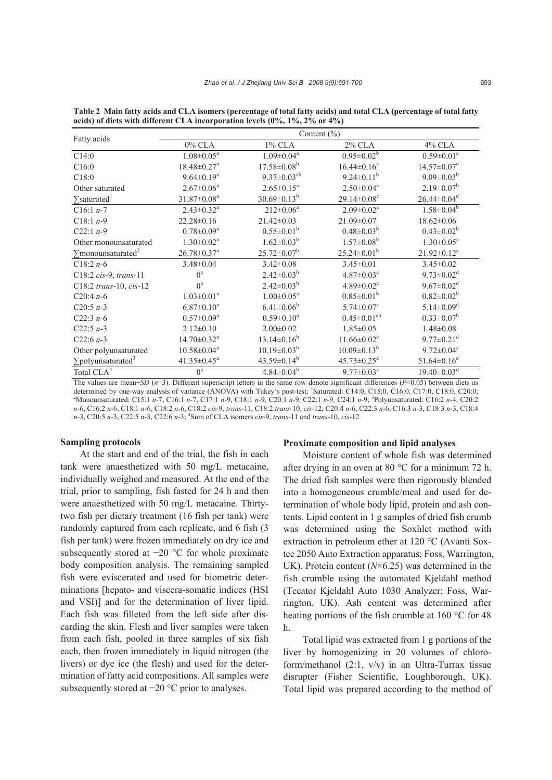|                                       | Content $(\% )$               |                              |                               |                               |  |  |  |  |
|---------------------------------------|-------------------------------|------------------------------|-------------------------------|-------------------------------|--|--|--|--|
| Fatty acids                           | $0\%$ CLA                     | $1\%$ CLA                    | $2\%$ CLA                     | $4\%$ CLA                     |  |  |  |  |
| C14:0                                 | $1.08 \pm 0.05^a$             | $1.09 \pm 0.04$ <sup>a</sup> | $0.95 \pm 0.02^b$             | $0.59 \pm 0.01$ <sup>c</sup>  |  |  |  |  |
| C16:0                                 | $18.48 \pm 0.27$ <sup>a</sup> | $17.58 \pm 0.08^b$           | $16.44 \pm 0.16$ <sup>c</sup> | $14.57 \pm 0.07$ <sup>d</sup> |  |  |  |  |
| C18:0                                 | $9.64 \pm 0.19^a$             | $9.37 \pm 0.03^{ab}$         | $9.24 \pm 0.11^b$             | $9.09 \pm 0.03^b$             |  |  |  |  |
| Other saturated                       | $2.67 \pm 0.06^a$             | $2.65 \pm 0.15^a$            | $2.50 \pm 0.04$ <sup>a</sup>  | $2.19 \pm 0.07^b$             |  |  |  |  |
| $\sum$ saturated <sup>1</sup>         | $31.87 \pm 0.08^a$            | $30.69 \pm 0.13^b$           | $29.14 \pm 0.08$ <sup>c</sup> | $26.44 \pm 0.04$ <sup>d</sup> |  |  |  |  |
| $C16:1 n-7$                           | $2.43 \pm 0.32$ <sup>a</sup>  | $212 \pm 0.06^a$             | $2.09 \pm 0.02^a$             | $1.58 \pm 0.04^b$             |  |  |  |  |
| $C18:1n-9$                            | $22.28 \pm 0.16$              | $21.42 \pm 0.03$             | $21.09 \pm 0.07$              | $18.62 \pm 0.06$              |  |  |  |  |
| $C22:1 n-9$                           | $0.78 \pm 0.09^a$             | $0.55 \pm 0.01^b$            | $0.48 \pm 0.03^b$             | $0.43 \pm 0.02^b$             |  |  |  |  |
| Other monounsaturated                 | $1.30 \pm 0.02^a$             | $1.62 \pm 0.03^b$            | $1.57 \pm 0.08^b$             | $1.30 \pm 0.05^a$             |  |  |  |  |
| $\sum$ monounsaturated <sup>2</sup>   | $26.78 \pm 0.37$ <sup>a</sup> | $25.72 \pm 0.07^b$           | $25.24 \pm 0.01^b$            | $21.92 \pm 0.12$ <sup>c</sup> |  |  |  |  |
| $C18:2n-6$                            | $3.48 \pm 0.04$               | $3.42 \pm 0.08$              | $3.45 \pm 0.01$               | $3.45 \pm 0.02$               |  |  |  |  |
| C18:2 cis-9, trans-11                 | $0^a$                         | $2.42 \pm 0.03^b$            | $4.87 \pm 0.03$ <sup>c</sup>  | $9.73 \pm 0.02$ <sup>d</sup>  |  |  |  |  |
| C18:2 trans-10, $cis-12$              | $0^a$                         | $2.42 \pm 0.03^b$            | $4.89 \pm 0.02$ <sup>c</sup>  | $9.67 \pm 0.02$ <sup>d</sup>  |  |  |  |  |
| $C20:4n-6$                            | $1.03 \pm 0.01^a$             | $1.00 \pm 0.05^{\text{a}}$   | $0.85 \pm 0.01^b$             | $0.82 \pm 0.02^b$             |  |  |  |  |
| C20:5 $n-3$                           | $6.87 \pm 0.10^a$             | $6.41 \pm 0.06^b$            | $5.74 \pm 0.07$ <sup>c</sup>  | $5.14 \pm 0.09$ <sup>d</sup>  |  |  |  |  |
| $C22:3n-6$                            | $0.57 \pm 0.09^a$             | $0.59 \pm 0.10^a$            | $0.45 \pm 0.01^{ab}$          | $0.33 \pm 0.07^b$             |  |  |  |  |
| $C22:5n-3$                            | $2.12\pm0.10$                 | $2.00 \pm 0.02$              | $1.85 \pm 0.05$               | $1.48 \pm 0.08$               |  |  |  |  |
| $C22:6n-3$                            | $14.70 \pm 0.32$ <sup>a</sup> | $13.14 \pm 0.16^b$           | $11.66 \pm 0.02$ <sup>c</sup> | $9.77 \pm 0.21$ <sup>d</sup>  |  |  |  |  |
| Other polyunsaturated                 | $10.58 \pm 0.04$ <sup>a</sup> | $10.19 \pm 0.03^b$           | $10.09 \pm 0.13^b$            | $9.72 \pm 0.04$ <sup>c</sup>  |  |  |  |  |
| $\Sigma$ polyunsaturated <sup>3</sup> | $41.35 \pm 0.45^{\circ}$      | $43.59 \pm 0.14^b$           | $45.73 \pm 0.25$ <sup>c</sup> | $51.64 \pm 0.16$ <sup>d</sup> |  |  |  |  |
| Total CLA <sup>4</sup>                | $0^a$                         | $4.84 \pm 0.04^b$            | $9.77 \pm 0.03$ <sup>c</sup>  | $19.40 \pm 0.03$ <sup>d</sup> |  |  |  |  |

**Table 2 Main fatty acids and CLA isomers (percentage of total fatty acids) and total CLA (percentage of total fatty acids) of diets with different CLA incorporation levels (0%, 1%, 2% or 4%)**

The values are mean $\pm SD$  ( $n=3$ ). Different superscript letters in the same row denote significant differences ( $P<0.05$ ) between diets as determined by one-way analysis of variance (ANOVA) with Tukey's post-test; <sup>1</sup>Saturated: C14:0, C15:0, C16:0, C17:0, C18:0, C20:0;<br><sup>2</sup>Monounceturated: C15:1 n 7, C16:1 n 7, C17:1 n 0, C18:1 n 0, C20:1 n 0, C22:1 n 0, C24: Monounsaturated: C15:1 *n*-7, C16:1 *n*-7, C17:1 *n*-9, C18:1 *n*-9, C20:1 *n*-9, C22:1 *n*-9, C24:1 *n*-9; <sup>3</sup> Polyunsaturated: C16:2 *n*-4, C20:2 *n*-6, C16:2 *n*-6, C18:1 *n*-6, C18:2 *n*-6, C18:2 *cis*-9, *trans*-11, C18:2 *trans*-10, *cis*-12, C20:4 *n*-6, C22:3 *n*-6, C16:3 *n*-3, C18:3 *n*-3, C18:4 *n*-3, C20:5 *n*-3, C22:5 *n*-3, C22:6 *n*-3; 4 Sum of CLA isomers *cis*-9, *trans*-11 and *trans*-10, *cis*-12

## **Sampling protocols**

At the start and end of the trial, the fish in each tank were anaesthetized with 50 mg/L metacaine, individually weighed and measured. At the end of the trial, prior to sampling, fish fasted for 24 h and then were anaesthetized with 50 mg/L metacaine. Thirtytwo fish per dietary treatment (16 fish per tank) were randomly captured from each replicate, and 6 fish (3 fish per tank) were frozen immediately on dry ice and subsequently stored at −20 °C for whole proximate body composition analysis. The remaining sampled fish were eviscerated and used for biometric determinations [hepato- and viscera-somatic indices (HSI and VSI)] and for the determination of liver lipid. Each fish was filleted from the left side after discarding the skin. Flesh and liver samples were taken from each fish, pooled in three samples of six fish each, then frozen immediately in liquid nitrogen (the livers) or dye ice (the flesh) and used for the determination of fatty acid compositions. All samples were subsequently stored at −20 °C prior to analyses.

## **Proximate composition and lipid analyses**

Moisture content of whole fish was determined after drying in an oven at 80 °C for a minimum 72 h. The dried fish samples were then rigorously blended into a homogeneous crumble/meal and used for determination of whole body lipid, protein and ash contents. Lipid content in 1 g samples of dried fish crumb was determined using the Soxhlet method with extraction in petroleum ether at 120 °C (Avanti Soxtee 2050 Auto Extraction apparatus; Foss, Warrington, UK). Protein content (*N*×6.25) was determined in the fish crumble using the automated Kjeldahl method (Tecator Kjeldahl Auto 1030 Analyzer; Foss, Warrington, UK). Ash content was determined after heating portions of the fish crumble at 160 °C for 48 h.

Total lipid was extracted from 1 g portions of the liver by homogenizing in 20 volumes of chloroform/methanol  $(2:1, v/v)$  in an Ultra-Turrax tissue disrupter (Fisher Scientific, Loughborough, UK). Total lipid was prepared according to the method of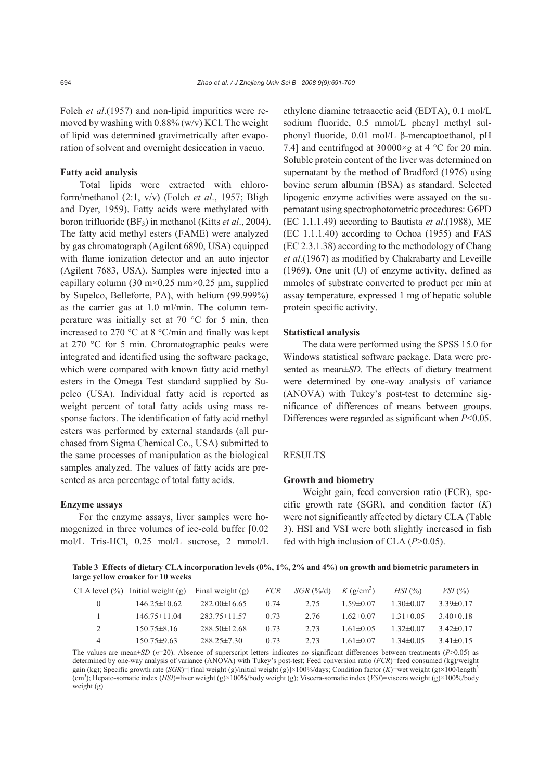Folch *et al.*(1957) and non-lipid impurities were removed by washing with 0.88% (w/v) KCl. The weight of lipid was determined gravimetrically after evaporation of solvent and overnight desiccation in vacuo.

#### **Fatty acid analysis**

Total lipids were extracted with chloroform/methanol (2:1, v/v) (Folch *et al*., 1957; Bligh and Dyer, 1959). Fatty acids were methylated with boron trifluoride (BF3) in methanol (Kitts *et al*., 2004). The fatty acid methyl esters (FAME) were analyzed by gas chromatograph (Agilent 6890, USA) equipped with flame ionization detector and an auto injector (Agilent 7683, USA). Samples were injected into a capillary column (30 m×0.25 mm×0.25 µm, supplied by Supelco, Belleforte, PA), with helium (99.999%) as the carrier gas at 1.0 ml/min. The column temperature was initially set at 70 °C for 5 min, then increased to 270 °C at 8 °C/min and finally was kept at 270 °C for 5 min. Chromatographic peaks were integrated and identified using the software package, which were compared with known fatty acid methyl esters in the Omega Test standard supplied by Supelco (USA). Individual fatty acid is reported as weight percent of total fatty acids using mass response factors. The identification of fatty acid methyl esters was performed by external standards (all purchased from Sigma Chemical Co., USA) submitted to the same processes of manipulation as the biological samples analyzed. The values of fatty acids are presented as area percentage of total fatty acids.

## **Enzyme assays**

For the enzyme assays, liver samples were homogenized in three volumes of ice-cold buffer [0.02 mol/L Tris-HCl, 0.25 mol/L sucrose, 2 mmol/L ethylene diamine tetraacetic acid (EDTA), 0.1 mol/L sodium fluoride, 0.5 mmol/L phenyl methyl sulphonyl fluoride, 0.01 mol/L β-mercaptoethanol, pH 7.4] and centrifuged at 30000×*g* at 4 °C for 20 min. Soluble protein content of the liver was determined on supernatant by the method of Bradford (1976) using bovine serum albumin (BSA) as standard. Selected lipogenic enzyme activities were assayed on the supernatant using spectrophotometric procedures: G6PD (EC 1.1.1.49) according to Bautista *et al*.(1988), ME (EC 1.1.1.40) according to Ochoa (1955) and FAS (EC 2.3.1.38) according to the methodology of Chang *et al*.(1967) as modified by Chakrabarty and Leveille (1969). One unit (U) of enzyme activity, defined as mmoles of substrate converted to product per min at assay temperature, expressed 1 mg of hepatic soluble protein specific activity.

#### **Statistical analysis**

The data were performed using the SPSS 15.0 for Windows statistical software package. Data were presented as mean±*SD*. The effects of dietary treatment were determined by one-way analysis of variance (ANOVA) with Tukey's post-test to determine significance of differences of means between groups. Differences were regarded as significant when *P*<0.05.

## **RESULTS**

## **Growth and biometry**

Weight gain, feed conversion ratio (FCR), specific growth rate (SGR), and condition factor (*K*) were not significantly affected by dietary CLA (Table 3). HSI and VSI were both slightly increased in fish fed with high inclusion of CLA (*P*>0.05).

**Table 3 Effects of dietary CLA incorporation levels (0%, 1%, 2% and 4%) on growth and biometric parameters in large yellow croaker for 10 weeks**

| CLA level (%) | Initial weight $(g)$ | Final weight $(g)$ | <b>FCR</b> | $SGR$ (%/d) | $K$ (g/cm <sup>3</sup> ) | $HSI$ (%)      | $VSI$ (%)       |
|---------------|----------------------|--------------------|------------|-------------|--------------------------|----------------|-----------------|
| $\theta$      | $146.25 \pm 10.62$   | $282.00\pm16.65$   | 0.74       | 2.75        | $1.59 \pm 0.07$          | $1.30\pm0.07$  | $3.39\pm0.17$   |
|               | $146.75 \pm 11.04$   | $283.75 \pm 11.57$ | 0.73       | 2.76        | $1.62\pm0.07$            | $1.31\pm0.05$  | 3.40 $\pm$ 0.18 |
| 2             | $150.75 \pm 8.16$    | $288.50 \pm 12.68$ | 0.73       | 2.73        | $1.61 \pm 0.05$          | $1.32\pm 0.07$ | $3.42\pm0.17$   |
| 4             | $150.75 \pm 9.63$    | $288.25 \pm 7.30$  | 0.73       | 2.73        | $1.61 \pm 0.07$          | $1.34\pm0.05$  | 3.41 $\pm$ 0.15 |

The values are mean±*SD* (*n*=20). Absence of superscript letters indicates no significant differences between treatments (*P*>0.05) as determined by one-way analysis of variance (ANOVA) with Tukey's post-test; Feed conversion ratio (*FCR*)=feed consumed (kg)/weight gain (kg); Specific growth rate (*SGR*)=[final weight (g)/initial weight (g)]×100%/days; Condition factor (*K*)=wet weight (g)×100/length<sup>3</sup> (cm3 ); Hepato-somatic index (*HSI*)=liver weight (g)×100%/body weight (g); Viscera-somatic index (*VSI*)=viscera weight (g)×100%/body weight (g)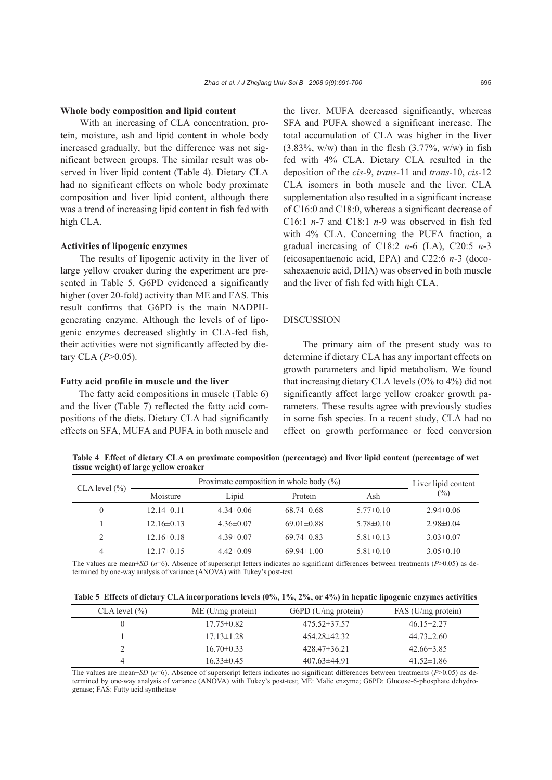#### **Whole body composition and lipid content**

With an increasing of CLA concentration, protein, moisture, ash and lipid content in whole body increased gradually, but the difference was not significant between groups. The similar result was observed in liver lipid content (Table 4). Dietary CLA had no significant effects on whole body proximate composition and liver lipid content, although there was a trend of increasing lipid content in fish fed with high CLA.

#### **Activities of lipogenic enzymes**

The results of lipogenic activity in the liver of large yellow croaker during the experiment are presented in Table 5. G6PD evidenced a significantly higher (over 20-fold) activity than ME and FAS. This result confirms that G6PD is the main NADPHgenerating enzyme. Although the levels of of lipogenic enzymes decreased slightly in CLA-fed fish, their activities were not significantly affected by dietary CLA (*P*>0.05).

## **Fatty acid profile in muscle and the liver**

The fatty acid compositions in muscle (Table 6) and the liver (Table 7) reflected the fatty acid compositions of the diets. Dietary CLA had significantly effects on SFA, MUFA and PUFA in both muscle and

the liver. MUFA decreased significantly, whereas SFA and PUFA showed a significant increase. The total accumulation of CLA was higher in the liver  $(3.83\%, w/w)$  than in the flesh  $(3.77\%, w/w)$  in fish fed with 4% CLA. Dietary CLA resulted in the deposition of the *cis*-9, *trans*-11 and *trans*-10, *cis*-12 CLA isomers in both muscle and the liver. CLA supplementation also resulted in a significant increase of C16:0 and C18:0, whereas a significant decrease of C16:1 *n*-7 and C18:1 *n*-9 was observed in fish fed with 4% CLA. Concerning the PUFA fraction, a gradual increasing of C18:2 *n*-6 (LA), C20:5 *n*-3 (eicosapentaenoic acid, EPA) and C22:6 *n*-3 (docosahexaenoic acid, DHA) was observed in both muscle and the liver of fish fed with high CLA.

## DISCUSSION

The primary aim of the present study was to determine if dietary CLA has any important effects on growth parameters and lipid metabolism. We found that increasing dietary CLA levels (0% to 4%) did not significantly affect large yellow croaker growth parameters. These results agree with previously studies in some fish species. In a recent study, CLA had no effect on growth performance or feed conversion

**Table 4 Effect of dietary CLA on proximate composition (percentage) and liver lipid content (percentage of wet tissue weight) of large yellow croaker**

| CLA level (%) | Proximate composition in whole body $(\%)$ | Liver lipid content |                  |                 |                 |
|---------------|--------------------------------------------|---------------------|------------------|-----------------|-----------------|
|               | Moisture                                   | Lipid               | Protein          | Ash             | $(\%)$          |
| $\theta$      | $12.14\pm0.11$                             | $4.34\pm0.06$       | $68.74\pm0.68$   | $5.77\pm 0.10$  | $2.94 \pm 0.06$ |
|               | $12.16\pm0.13$                             | $4.36\pm0.07$       | $69.01 \pm 0.88$ | $5.78\pm0.10$   | $2.98\pm0.04$   |
|               | $12.16\pm0.18$                             | $4.39\pm0.07$       | $69.74\pm0.83$   | $5.81 \pm 0.13$ | $3.03 \pm 0.07$ |
| 4             | $12.17\pm0.15$                             | $4.42\pm0.09$       | $69.94 \pm 1.00$ | $5.81 \pm 0.10$ | $3.05\pm0.10$   |

The values are mean±*SD* (*n*=6). Absence of superscript letters indicates no significant differences between treatments (*P*>0.05) as determined by one-way analysis of variance (ANOVA) with Tukey's post-test

| Table 5 Effects of dietary CLA incorporations levels (0%, 1%, 2%, or 4%) in hepatic lipogenic enzymes activities |  |  |  |  |
|------------------------------------------------------------------------------------------------------------------|--|--|--|--|
|                                                                                                                  |  |  |  |  |

| CLA level (%) | $ME$ (U/mg protein) | $G6PD$ (U/mg protein) | FAS (U/mg protein) |
|---------------|---------------------|-----------------------|--------------------|
|               | $17.75 \pm 0.82$    | $475.52 \pm 37.57$    | $46.15 \pm 2.27$   |
|               | $17.13 \pm 1.28$    | $454.28\pm42.32$      | $44.73 \pm 2.60$   |
|               | $16.70\pm0.33$      | $428.47\pm36.21$      | $42.66\pm3.85$     |
|               | $16.33\pm0.45$      | $407.63\pm44.91$      | $41.52\pm1.86$     |

The values are mean±*SD* (*n*=6). Absence of superscript letters indicates no significant differences between treatments (*P*>0.05) as determined by one-way analysis of variance (ANOVA) with Tukey's post-test; ME: Malic enzyme; G6PD: Glucose-6-phosphate dehydrogenase; FAS: Fatty acid synthetase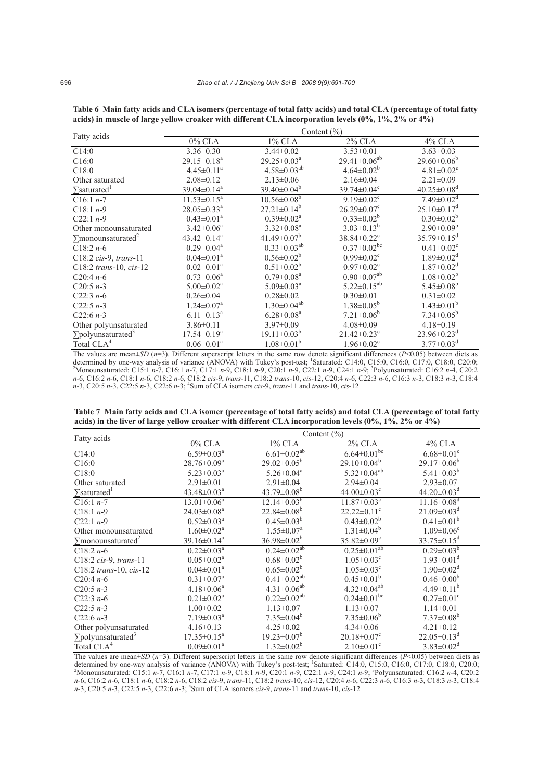| Fatty acids                            | Content $(\% )$               |                               |                               |                               |  |  |  |  |
|----------------------------------------|-------------------------------|-------------------------------|-------------------------------|-------------------------------|--|--|--|--|
|                                        | $0\%$ CLA                     | $1\%$ CLA                     | $2\%$ CLA                     | 4% CLA                        |  |  |  |  |
| C14:0                                  | $3.36 \pm 0.30$               | $3.44 \pm 0.02$               | $3.53 \pm 0.01$               | $3.63 \pm 0.03$               |  |  |  |  |
| C16:0                                  | $29.15 \pm 0.18^a$            | $29.25 \pm 0.03^a$            | $29.41 \pm 0.06^{ab}$         | $29.60 \pm 0.06^b$            |  |  |  |  |
| C18:0                                  | $4.45 \pm 0.11^a$             | $4.58 \pm 0.03^{ab}$          | $4.64 \pm 0.02^b$             | $4.81 \pm 0.02$ <sup>c</sup>  |  |  |  |  |
| Other saturated                        | $2.08 \pm 0.12$               | $2.13 \pm 0.06$               | $2.16 \pm 0.04$               | $2.21 \pm 0.09$               |  |  |  |  |
| $\sum$ saturated <sup>1</sup>          | $39.04 \pm 0.14$ <sup>a</sup> | $39.40 \pm 0.04^b$            | $39.74 \pm 0.04$ <sup>c</sup> | $40.25 \pm 0.08$ <sup>d</sup> |  |  |  |  |
| $C16:1 n-7$                            | $11.53 \pm 0.15^a$            | $10.56 \pm 0.08$ <sup>b</sup> | $9.19 \pm 0.02$ <sup>c</sup>  | $7.49 \pm 0.02$ <sup>d</sup>  |  |  |  |  |
| C <sub>18:1</sub> $n-9$                | $28.05 \pm 0.33$ <sup>a</sup> | $27.21 \pm 0.14^b$            | $26.29 \pm 0.07$ <sup>c</sup> | $25.10 \pm 0.17$ <sup>d</sup> |  |  |  |  |
| $C22:1 n-9$                            | $0.43 \pm 0.01^a$             | $0.39 \pm 0.02^a$             | $0.33 \pm 0.02^b$             | $0.30 \pm 0.02^b$             |  |  |  |  |
| Other monounsaturated                  | $3.42 \pm 0.06^a$             | $3.32 \pm 0.08^a$             | $3.03 \pm 0.13^b$             | $2.90 \pm 0.09^b$             |  |  |  |  |
| $\sum$ monounsaturated <sup>2</sup>    | $43.42 \pm 0.14$ <sup>a</sup> | $41.49 \pm 0.07^b$            | $38.84 \pm 0.22$ <sup>c</sup> | $35.79 \pm 0.15^{\circ}$      |  |  |  |  |
| $C18:2n-6$                             | $0.29 \pm 0.04^a$             | $0.33 \pm 0.03^{ab}$          | $0.37 \pm 0.02$ <sup>bc</sup> | $0.41 \pm 0.02$ <sup>c</sup>  |  |  |  |  |
| $C18:2 \text{ cis-9}, \text{trans-11}$ | $0.04 \pm 0.01$ <sup>a</sup>  | $0.56 \pm 0.02^b$             | $0.99 \pm 0.02$ <sup>c</sup>  | $1.89 \pm 0.02$ <sup>d</sup>  |  |  |  |  |
| C18:2 trans-10, $cis$ -12              | $0.02 \pm 0.01^a$             | $0.51 \pm 0.02^b$             | $0.97 \pm 0.02$ <sup>c</sup>  | $1.87 \pm 0.02$ <sup>d</sup>  |  |  |  |  |
| $C20:4n-6$                             | $0.73 \pm 0.06^a$             | $0.79 \pm 0.08^a$             | $0.90 \pm 0.07^{ab}$          | $1.08 \pm 0.02^b$             |  |  |  |  |
| $C20:5n-3$                             | $5.00 \pm 0.02$ <sup>a</sup>  | $5.09 \pm 0.03^a$             | $5.22 \pm 0.15^{ab}$          | $5.45 \pm 0.08^b$             |  |  |  |  |
| $C22:3n-6$                             | $0.26 \pm 0.04$               | $0.28 \pm 0.02$               | $0.30 \pm 0.01$               | $0.31 \pm 0.02$               |  |  |  |  |
| $C22:5n-3$                             | $1.24 \pm 0.07$ <sup>a</sup>  | $1.30 \pm 0.04^{ab}$          | $1.38 \pm 0.05^b$             | $1.43 \pm 0.01^b$             |  |  |  |  |
| $C22:6n-3$                             | $6.11 \pm 0.13^a$             | $6.28 \pm 0.08^a$             | $7.21 \pm 0.06^b$             | $7.34 \pm 0.05^b$             |  |  |  |  |
| Other polyunsaturated                  | $3.86 \pm 0.11$               | $3.97 \pm 0.09$               | $4.08 \pm 0.09$               | $4.18 \pm 0.19$               |  |  |  |  |
| $\sum$ polyunsaturated <sup>3</sup>    | $17.54 \pm 0.19^a$            | $19.11 \pm 0.03^b$            | $21.42 \pm 0.23$ °            | $23.96 \pm 0.23$ <sup>d</sup> |  |  |  |  |
| Total CLA <sup>4</sup>                 | $0.06 \pm 0.01$ <sup>a</sup>  | $1.08 \pm 0.01$ <sup>b</sup>  | $1.96 \pm 0.02$ <sup>c</sup>  | $3.77 \pm 0.03$ <sup>d</sup>  |  |  |  |  |

**Table 6 Main fatty acids and CLA isomers (percentage of total fatty acids) and total CLA (percentage of total fatty acids) in muscle of large yellow croaker with different CLA incorporation levels (0%, 1%, 2% or 4%)**

The values are mean $\pm SD$  ( $n=3$ ). Different superscript letters in the same row denote significant differences ( $P < 0.05$ ) between diets as determined by one-way analysis of variance  $(ANOVA)$  with Tukey's post-test; <sup>1</sup>Saturated: C14:0, C15:0, C16:0, C17:0, C18:0, C20:0;<br><sup>2</sup>Monounceturated: C15:1 n 7, C16:1 n 7, C17:1 n 0, C18:1 n 0, C20:1 n 0, C22:1 n 0, C24:1 Monounsaturated: C15:1 *n*-7, C16:1 *n*-7, C17:1 *n*-9, C18:1 *n*-9, C20:1 *n*-9, C22:1 *n*-9, C24:1 *n*-9; <sup>3</sup> Polyunsaturated: C16:2 *n*-4, C20:2 *n*-6, C16:2 *n*-6, C18:1 *n*-6, C18:2 *n*-6, C18:2 *cis*-9, *trans*-11, C18:2 *trans*-10, *cis*-12, C20:4 *n*-6, C22:3 *n*-6, C16:3 *n*-3, C18:3 *n*-3, C18:4 *n*-3, C20:5 *n*-3, C22:5 *n*-3, C22:6 *n*-3; 4 Sum of CLA isomers *cis*-9, *trans*-11 and *trans*-10, *cis*-12

**Table 7 Main fatty acids and CLA isomer (percentage of total fatty acids) and total CLA (percentage of total fatty acids) in the liver of large yellow croaker with different CLA incorporation levels (0%, 1%, 2% or 4%)**

|                                     | Content $(\% )$               |                              |                               |                               |  |  |  |  |
|-------------------------------------|-------------------------------|------------------------------|-------------------------------|-------------------------------|--|--|--|--|
| Fatty acids                         | $0\%$ CLA                     | $1\%$ CLA                    | 2% CLA                        | 4% CLA                        |  |  |  |  |
| C14:0                               | $6.59 \pm 0.03$ <sup>a</sup>  | $6.61 \pm 0.02^{ab}$         | $6.64 \pm 0.01$ <sup>bc</sup> | $6.68 \pm 0.01$ <sup>c</sup>  |  |  |  |  |
| C16:0                               | $28.76 \pm 0.09^a$            | $29.02 \pm 0.05^b$           | $29.10 \pm 0.04^b$            | $29.17 \pm 0.06^b$            |  |  |  |  |
| C18:0                               | $5.23 \pm 0.03^a$             | $5.26 \pm 0.04$ <sup>a</sup> | $5.32 \pm 0.04^{ab}$          | $5.41 \pm 0.03^b$             |  |  |  |  |
| Other saturated                     | $2.91 \pm 0.01$               | $2.91 \pm 0.04$              | $2.94 \pm 0.04$               | $2.93 \pm 0.07$               |  |  |  |  |
| $\sum$ saturated <sup>1</sup>       | $43.48 \pm 0.03^a$            | $43.79 \pm 0.08^b$           | $44.00 \pm 0.03$ <sup>c</sup> | $44.20 \pm 0.03$ <sup>d</sup> |  |  |  |  |
| C <sub>16:1</sub> $n-7$             | $13.01 \pm 0.06^a$            | $12.14 \pm 0.03^{b}$         | $11.87 \pm 0.03$ <sup>c</sup> | $11.16 \pm 0.08$ <sup>d</sup> |  |  |  |  |
| C <sub>18:1</sub> $n-9$             | $24.03 \pm 0.08$ <sup>a</sup> | $22.84 \pm 0.08^b$           | $22.22 \pm 0.11$ °            | $21.09 \pm 0.03$ <sup>d</sup> |  |  |  |  |
| $C22:1 n-9$                         | $0.52 \pm 0.03^{\text{a}}$    | $0.45 \pm 0.03^b$            | $0.43 \pm 0.02^b$             | $0.41 \pm 0.01^b$             |  |  |  |  |
| Other monounsaturated               | $1.60 \pm 0.02^a$             | $1.55 \pm 0.07^{\text{a}}$   | $1.31 \pm 0.04^b$             | $1.09 \pm 0.06$ <sup>c</sup>  |  |  |  |  |
| $\sum$ monounsaturated <sup>2</sup> | $39.16 \pm 0.14^a$            | $36.98 \pm 0.02^b$           | $35.82 \pm 0.09$ <sup>c</sup> | $33.75 \pm 0.15^d$            |  |  |  |  |
| C <sub>18:2</sub> $n-6$             | $0.22 \pm 0.03^{\text{a}}$    | $0.24 \pm 0.02^{ab}$         | $0.25 \pm 0.01$ <sup>ab</sup> | $0.29 \pm 0.03^b$             |  |  |  |  |
| C18:2 $cis-9$ , trans-11            | $0.05 \pm 0.02^a$             | $0.68 \pm 0.02^b$            | $1.05 \pm 0.03$ <sup>c</sup>  | $1.93 \pm 0.01$ <sup>d</sup>  |  |  |  |  |
| C18:2 trans-10, $cis-12$            | $0.04 \pm 0.01^a$             | $0.65 \pm 0.02^b$            | $1.05 \pm 0.03$ <sup>c</sup>  | $1.90 \pm 0.02$ <sup>d</sup>  |  |  |  |  |
| $C20:4n-6$                          | $0.31 \pm 0.07^{\text{a}}$    | $0.41 \pm 0.02^{ab}$         | $0.45 \pm 0.01^b$             | $0.46 \pm 0.00^b$             |  |  |  |  |
| $C20:5 n-3$                         | $4.18 \pm 0.06^a$             | $4.31 \pm 0.06^{ab}$         | $4.32 \pm 0.04^{ab}$          | $4.49\pm0.11^{b}$             |  |  |  |  |
| $C22:3n-6$                          | $0.21 \pm 0.02^a$             | $0.22 \pm 0.02^{ab}$         | $0.24 \pm 0.01$ <sup>bc</sup> | $0.27 \pm 0.01$ <sup>c</sup>  |  |  |  |  |
| $C22:5n-3$                          | $1.00 \pm 0.02$               | $1.13 \pm 0.07$              | $1.13 \pm 0.07$               | $1.14 \pm 0.01$               |  |  |  |  |
| $C22:6n-3$                          | $7.19 \pm 0.03^a$             | $7.35 \pm 0.04^b$            | $7.35 \pm 0.06^b$             | $7.37 \pm 0.08^b$             |  |  |  |  |
| Other polyunsaturated               | $4.16\pm0.13$                 | $4.25 \pm 0.02$              | $4.34 \pm 0.06$               | $4.21 \pm 0.12$               |  |  |  |  |
| $\sum$ polyunsaturated <sup>3</sup> | $17.35 \pm 0.15^a$            | $19.23 \pm 0.07^b$           | $20.18 \pm 0.07$ <sup>c</sup> | $22.05 \pm 0.13$ <sup>d</sup> |  |  |  |  |
| Total CLA <sup>4</sup>              | $0.09 \pm 0.01$ <sup>a</sup>  | $1.32 \pm 0.02^b$            | $2.10\pm0.01$ <sup>c</sup>    | $3.83 \pm 0.02$ <sup>d</sup>  |  |  |  |  |

The values are mean $\pm SD$  ( $n=3$ ). Different superscript letters in the same row denote significant differences ( $P<0.05$ ) between diets as<br>determined by one-way analysis of variance (ANOVA) with Tukey's post-test; <sup>1</sup>Satu Monounsaturated: C15:1 *n*-7, C16:1 *n*-7, C17:1 *n*-9, C18:1 *n*-9, C20:1 *n*-9, C22:1 *n*-9, C24:1 *n*-9; <sup>3</sup> Polyunsaturated: C16:2 *n*-4, C20:2 n-6, C16:2 n-6, C18:1 n-6, C18:2 n-6, C18:2 cis-9, trans-11, C18:2 trans-10, cis-12, C20:4 n-6, C22:3 n-6, C16:3 n-3, C18:3 n-3, C18:4<br>n-3, C20:5 n-3, C22:5 n-3, C22:6 n-3; <sup>4</sup>Sum of CLA isomers cis-9, trans-11 and trans-1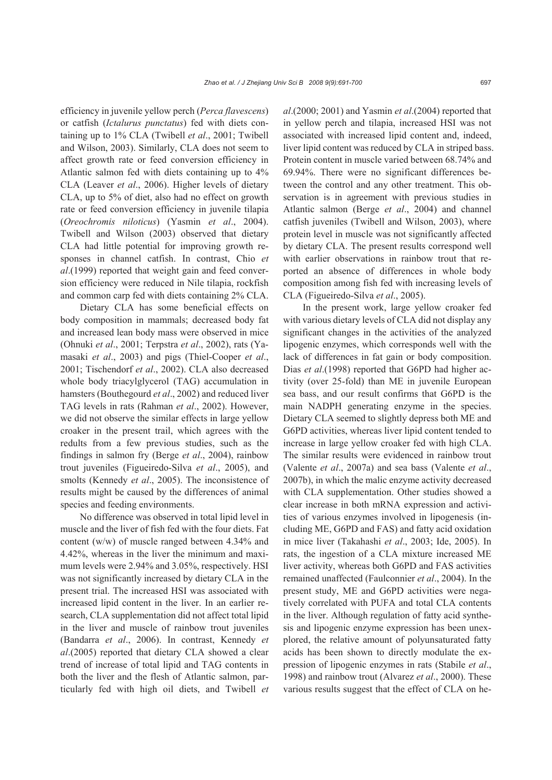efficiency in juvenile yellow perch (*Perca flavescens*) or catfish (*Ictalurus punctatus*) fed with diets containing up to 1% CLA (Twibell *et al*., 2001; Twibell and Wilson, 2003). Similarly, CLA does not seem to affect growth rate or feed conversion efficiency in Atlantic salmon fed with diets containing up to 4% CLA (Leaver *et al*., 2006). Higher levels of dietary CLA, up to 5% of diet, also had no effect on growth rate or feed conversion efficiency in juvenile tilapia (*Oreochromis niloticus*) (Yasmin *et al*., 2004). Twibell and Wilson (2003) observed that dietary CLA had little potential for improving growth responses in channel catfish. In contrast, Chio *et al*.(1999) reported that weight gain and feed conversion efficiency were reduced in Nile tilapia, rockfish and common carp fed with diets containing 2% CLA.

Dietary CLA has some beneficial effects on body composition in mammals; decreased body fat and increased lean body mass were observed in mice (Ohnuki *et al*., 2001; Terpstra *et al*., 2002), rats (Yamasaki *et al*., 2003) and pigs (Thiel-Cooper *et al*., 2001; Tischendorf *et al*., 2002). CLA also decreased whole body triacylglycerol (TAG) accumulation in hamsters (Bouthegourd *et al*., 2002) and reduced liver TAG levels in rats (Rahman *et al*., 2002). However, we did not observe the similar effects in large yellow croaker in the present trail, which agrees with the redults from a few previous studies, such as the findings in salmon fry (Berge *et al*., 2004), rainbow trout juveniles (Figueiredo-Silva *et al*., 2005), and smolts (Kennedy *et al*., 2005). The inconsistence of results might be caused by the differences of animal species and feeding environments.

No difference was observed in total lipid level in muscle and the liver of fish fed with the four diets. Fat content (w/w) of muscle ranged between 4.34% and 4.42%, whereas in the liver the minimum and maximum levels were 2.94% and 3.05%, respectively. HSI was not significantly increased by dietary CLA in the present trial. The increased HSI was associated with increased lipid content in the liver. In an earlier research, CLA supplementation did not affect total lipid in the liver and muscle of rainbow trout juveniles (Bandarra *et al*., 2006). In contrast, Kennedy *et al*.(2005) reported that dietary CLA showed a clear trend of increase of total lipid and TAG contents in both the liver and the flesh of Atlantic salmon, particularly fed with high oil diets, and Twibell *et*  *al*.(2000; 2001) and Yasmin *et al*.(2004) reported that in yellow perch and tilapia, increased HSI was not associated with increased lipid content and, indeed, liver lipid content was reduced by CLA in striped bass. Protein content in muscle varied between 68.74% and 69.94%. There were no significant differences between the control and any other treatment. This observation is in agreement with previous studies in Atlantic salmon (Berge *et al*., 2004) and channel catfish juveniles (Twibell and Wilson, 2003), where protein level in muscle was not significantly affected by dietary CLA. The present results correspond well with earlier observations in rainbow trout that reported an absence of differences in whole body composition among fish fed with increasing levels of CLA (Figueiredo-Silva *et al*., 2005).

In the present work, large yellow croaker fed with various dietary levels of CLA did not display any significant changes in the activities of the analyzed lipogenic enzymes, which corresponds well with the lack of differences in fat gain or body composition. Dias *et al*.(1998) reported that G6PD had higher activity (over 25-fold) than ME in juvenile European sea bass, and our result confirms that G6PD is the main NADPH generating enzyme in the species. Dietary CLA seemed to slightly depress both ME and G6PD activities, whereas liver lipid content tended to increase in large yellow croaker fed with high CLA. The similar results were evidenced in rainbow trout (Valente *et al*., 2007a) and sea bass (Valente *et al*., 2007b), in which the malic enzyme activity decreased with CLA supplementation. Other studies showed a clear increase in both mRNA expression and activities of various enzymes involved in lipogenesis (including ME, G6PD and FAS) and fatty acid oxidation in mice liver (Takahashi *et al*., 2003; Ide, 2005). In rats, the ingestion of a CLA mixture increased ME liver activity, whereas both G6PD and FAS activities remained unaffected (Faulconnier *et al*., 2004). In the present study, ME and G6PD activities were negatively correlated with PUFA and total CLA contents in the liver. Although regulation of fatty acid synthesis and lipogenic enzyme expression has been unexplored, the relative amount of polyunsaturated fatty acids has been shown to directly modulate the expression of lipogenic enzymes in rats (Stabile *et al*., 1998) and rainbow trout (Alvarez *et al*., 2000). These various results suggest that the effect of CLA on he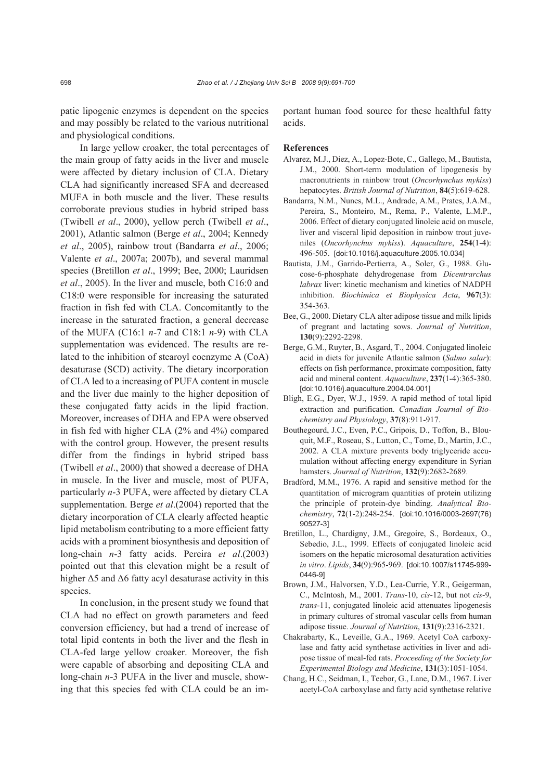patic lipogenic enzymes is dependent on the species and may possibly be related to the various nutritional and physiological conditions.

In large yellow croaker, the total percentages of the main group of fatty acids in the liver and muscle were affected by dietary inclusion of CLA. Dietary CLA had significantly increased SFA and decreased MUFA in both muscle and the liver. These results corroborate previous studies in hybrid striped bass (Twibell *et al*., 2000), yellow perch (Twibell *et al*., 2001), Atlantic salmon (Berge *et al*., 2004; Kennedy *et al*., 2005), rainbow trout (Bandarra *et al*., 2006; Valente *et al*., 2007a; 2007b), and several mammal species (Bretillon *et al*., 1999; Bee, 2000; Lauridsen *et al*., 2005). In the liver and muscle, both C16:0 and C18:0 were responsible for increasing the saturated fraction in fish fed with CLA. Concomitantly to the increase in the saturated fraction, a general decrease of the MUFA (C16:1 *n*-7 and C18:1 *n*-9) with CLA supplementation was evidenced. The results are related to the inhibition of stearoyl coenzyme A (CoA) desaturase (SCD) activity. The dietary incorporation of CLA led to a increasing of PUFA content in muscle and the liver due mainly to the higher deposition of these conjugated fatty acids in the lipid fraction. Moreover, increases of DHA and EPA were observed in fish fed with higher CLA (2% and 4%) compared with the control group. However, the present results differ from the findings in hybrid striped bass (Twibell *et al*., 2000) that showed a decrease of DHA in muscle. In the liver and muscle, most of PUFA, particularly *n*-3 PUFA, were affected by dietary CLA supplementation. Berge *et al*.(2004) reported that the dietary incorporation of CLA clearly affected heaptic lipid metabolism contributing to a more efficient fatty acids with a prominent biosynthesis and deposition of long-chain *n*-3 fatty acids. Pereira *et al*.(2003) pointed out that this elevation might be a result of higher  $\Delta$ 5 and  $\Delta$ 6 fatty acyl desaturase activity in this species.

In conclusion, in the present study we found that CLA had no effect on growth parameters and feed conversion efficiency, but had a trend of increase of total lipid contents in both the liver and the flesh in CLA-fed large yellow croaker. Moreover, the fish were capable of absorbing and depositing CLA and long-chain *n*-3 PUFA in the liver and muscle, showing that this species fed with CLA could be an important human food source for these healthful fatty acids.

#### **References**

- Alvarez, M.J., Diez, A., Lopez-Bote, C., Gallego, M., Bautista, J.M., 2000. Short-term modulation of lipogenesis by macronutrients in rainbow trout (*Oncorhynchus mykiss*) hepatocytes. *British Journal of Nutrition*, **84**(5):619-628.
- Bandarra, N.M., Nunes, M.L., Andrade, A.M., Prates, J.A.M., Pereira, S., Monteiro, M., Rema, P., Valente, L.M.P., 2006. Effect of dietary conjugated linoleic acid on muscle, liver and visceral lipid deposition in rainbow trout juveniles (*Oncorhynchus mykiss*). *Aquaculture*, **254**(1-4): 496-505. [doi:10.1016/j.aquaculture.2005.10.034]
- Bautista, J.M., Garrido-Pertierra, A., Soler, G., 1988. Glucose-6-phosphate dehydrogenase from *Dicentrarchus labrax* liver: kinetic mechanism and kinetics of NADPH inhibition. *Biochimica et Biophysica Acta*, **967**(3): 354-363.
- Bee, G., 2000. Dietary CLA alter adipose tissue and milk lipids of pregrant and lactating sows. *Journal of Nutrition*, **130**(9):2292-2298.
- Berge, G.M., Ruyter, B., Asgard, T., 2004. Conjugated linoleic acid in diets for juvenile Atlantic salmon (*Salmo salar*): effects on fish performance, proximate composition, fatty acid and mineral content. *Aquaculture*, **237**(1-4):365-380. [doi:10.1016/j.aquaculture.2004.04.001]
- Bligh, E.G., Dyer, W.J., 1959. A rapid method of total lipid extraction and purification. *Canadian Journal of Biochemistry and Physiology*, **37**(8):911-917.
- Bouthegourd, J.C., Even, P.C., Gripois, D., Toffon, B., Blouquit, M.F., Roseau, S., Lutton, C., Tome, D., Martin, J.C., 2002. A CLA mixture prevents body triglyceride accumulation without affecting energy expenditure in Syrian hamsters. *Journal of Nutrition*, **132**(9):2682-2689.
- Bradford, M.M., 1976. A rapid and sensitive method for the quantitation of microgram quantities of protein utilizing the principle of protein-dye binding. *Analytical Biochemistry*, **72**(1-2):248-254. [doi:10.1016/0003-2697(76) 90527-3]
- Bretillon, L., Chardigny, J.M., Gregoire, S., Bordeaux, O., Sebedio, J.L., 1999. Effects of conjugated linoleic acid isomers on the hepatic microsomal desaturation activities *in vitro*. *Lipids*, **34**(9):965-969. [doi:10.1007/s11745-999- 0446-9]
- Brown, J.M., Halvorsen, Y.D., Lea-Currie, Y.R., Geigerman, C., McIntosh, M., 2001. *Trans*-10, *cis*-12, but not *cis*-9, *trans*-11, conjugated linoleic acid attenuates lipogenesis in primary cultures of stromal vascular cells from human adipose tissue. *Journal of Nutrition*, **131**(9):2316-2321.
- Chakrabarty, K., Leveille, G.A., 1969. Acetyl CoA carboxylase and fatty acid synthetase activities in liver and adipose tissue of meal-fed rats. *Proceeding of the Society for Experimental Biology and Medicine*, **131**(3):1051-1054.
- Chang, H.C., Seidman, I., Teebor, G., Lane, D.M., 1967. Liver acetyl-CoA carboxylase and fatty acid synthetase relative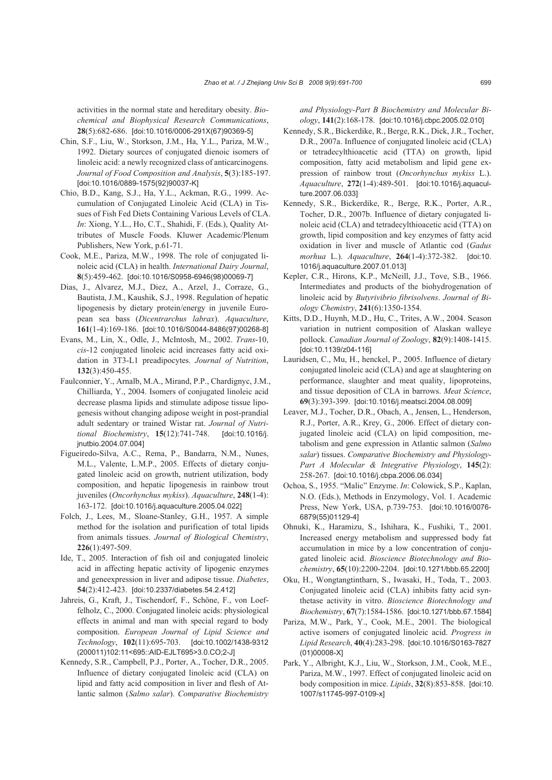activities in the normal state and hereditary obesity. *Biochemical and Biophysical Research Communications*, **28**(5):682-686. [doi:10.1016/0006-291X(67)90369-5]

- Chin, S.F., Liu, W., Storkson, J.M., Ha, Y.L., Pariza, M.W., 1992. Dietary sources of conjugated dienoic isomers of linoleic acid: a newly recognized class of anticarcinogens. *Journal of Food Composition and Analysis*, **5**(3):185-197. [doi:10.1016/0889-1575(92)90037-K]
- Chio, B.D., Kang, S.J., Ha, Y.L., Ackman, R.G., 1999. Accumulation of Conjugated Linoleic Acid (CLA) in Tissues of Fish Fed Diets Containing Various Levels of CLA. *In*: Xiong, Y.L., Ho, C.T., Shahidi, F. (Eds.), Quality Attributes of Muscle Foods. Kluwer Academic/Plenum Publishers, New York, p.61-71.
- Cook, M.E., Pariza, M.W., 1998. The role of conjugated linoleic acid (CLA) in health. *International Dairy Journal*, **8**(5):459-462. [doi:10.1016/S0958-6946(98)00069-7]
- Dias, J., Alvarez, M.J., Diez, A., Arzel, J., Corraze, G., Bautista, J.M., Kaushik, S.J., 1998. Regulation of hepatic lipogenesis by dietary protein/energy in juvenile European sea bass (*Dicentrarchus labrax*). *Aquaculture*, **161**(1-4):169-186. [doi:10.1016/S0044-8486(97)00268-8]
- Evans, M., Lin, X., Odle, J., McIntosh, M., 2002. *Trans*-10, *cis*-12 conjugated linoleic acid increases fatty acid oxidation in 3T3-L1 preadipocytes. *Journal of Nutrition*, **132**(3):450-455.
- Faulconnier, Y., Arnalb, M.A., Mirand, P.P., Chardignyc, J.M., Chilliarda, Y., 2004. Isomers of conjugated linoleic acid decrease plasma lipids and stimulate adipose tissue lipogenesis without changing adipose weight in post-prandial adult sedentary or trained Wistar rat. *Journal of Nutritional Biochemistry*, **15**(12):741-748. [doi:10.1016/j. jnutbio.2004.07.004]
- Figueiredo-Silva, A.C., Rema, P., Bandarra, N.M., Nunes, M.L., Valente, L.M.P., 2005. Effects of dietary conjugated linoleic acid on growth, nutrient utilization, body composition, and hepatic lipogenesis in rainbow trout juveniles (*Oncorhynchus mykiss*). *Aquaculture*, **248**(1-4): 163-172. [doi:10.1016/j.aquaculture.2005.04.022]
- Folch, J., Lees, M., Sloane-Stanley, G.H., 1957. A simple method for the isolation and purification of total lipids from animals tissues. *Journal of Biological Chemistry*, **226**(1):497-509.
- Ide, T., 2005. Interaction of fish oil and conjugated linoleic acid in affecting hepatic activity of lipogenic enzymes and geneexpression in liver and adipose tissue. *Diabetes*, **54**(2):412-423. [doi:10.2337/diabetes.54.2.412]
- Jahreis, G., Kraft, J., Tischendorf, F., Schöne, F., von Loeffelholz, C., 2000. Conjugated linoleic acids: physiological effects in animal and man with special regard to body composition. *European Journal of Lipid Science and Technology*, **102**(11):695-703. [doi:10.1002/1438-9312 (200011)102:11<695::AID-EJLT695>3.0.CO;2-J]
- Kennedy, S.R., Campbell, P.J., Porter, A., Tocher, D.R., 2005. Influence of dietary conjugated linoleic acid (CLA) on lipid and fatty acid composition in liver and flesh of Atlantic salmon (*Salmo salar*). *Comparative Biochemistry*

*and Physiology-Part B Biochemistry and Molecular Biology*, **141**(2):168-178. [doi:10.1016/j.cbpc.2005.02.010]

- Kennedy, S.R., Bickerdike, R., Berge, R.K., Dick, J.R., Tocher, D.R., 2007a. Influence of conjugated linoleic acid (CLA) or tetradecylthioacetic acid (TTA) on growth, lipid composition, fatty acid metabolism and lipid gene expression of rainbow trout (*Oncorhynchus mykiss* L.). *Aquaculture*, **272**(1-4):489-501. [doi:10.1016/j.aquaculture.2007.06.033]
- Kennedy, S.R., Bickerdike, R., Berge, R.K., Porter, A.R., Tocher, D.R., 2007b. Influence of dietary conjugated linoleic acid (CLA) and tetradecylthioacetic acid (TTA) on growth, lipid composition and key enzymes of fatty acid oxidation in liver and muscle of Atlantic cod (*Gadus morhua* L.). *Aquaculture*, **264**(1-4):372-382. [doi:10. 1016/j.aquaculture.2007.01.013]
- Kepler, C.R., Hirons, K.P., McNeill, J.J., Tove, S.B., 1966. Intermediates and products of the biohydrogenation of linoleic acid by *Butyrivibrio fibrisolvens*. *Journal of Biology Chemistry*, **241**(6):1350-1354.
- Kitts, D.D., Huynh, M.D., Hu, C., Trites, A.W., 2004. Season variation in nutrient composition of Alaskan walleye pollock. *Canadian Journal of Zoology*, **82**(9):1408-1415. [doi:10.1139/z04-116]
- Lauridsen, C., Mu, H., henckel, P., 2005. Influence of dietary conjugated linoleic acid (CLA) and age at slaughtering on performance, slaughter and meat quality, lipoproteins, and tissue deposition of CLA in barrows. *Meat Science*, **69**(3):393-399. [doi:10.1016/j.meatsci.2004.08.009]
- Leaver, M.J., Tocher, D.R., Obach, A., Jensen, L., Henderson, R.J., Porter, A.R., Krey, G., 2006. Effect of dietary conjugated linoleic acid (CLA) on lipid composition, metabolism and gene expression in Atlantic salmon (*Salmo salar*) tissues. *Comparative Biochemistry and Physiology-Part A Molecular & Integrative Physiology*, **145**(2): 258-267. [doi:10.1016/j.cbpa.2006.06.034]
- Ochoa, S., 1955. "Malic" Enzyme. *In*: Colowick, S.P., Kaplan, N.O. (Eds.), Methods in Enzymology, Vol. 1. Academic Press, New York, USA, p.739-753. [doi:10.1016/0076- 6879(55)01129-4]
- Ohnuki, K., Haramizu, S., Ishihara, K., Fushiki, T., 2001. Increased energy metabolism and suppressed body fat accumulation in mice by a low concentration of conjugated linoleic acid. *Bioscience Biotechnology and Biochemistry*, **65**(10):2200-2204. [doi:10.1271/bbb.65.2200]
- Oku, H., Wongtangtintharn, S., Iwasaki, H., Toda, T., 2003. Conjugated linoleic acid (CLA) inhibits fatty acid synthetase activity in vitro. *Bioscience Biotechnology and Biochemistry*, **67**(7):1584-1586. [doi:10.1271/bbb.67.1584]
- Pariza, M.W., Park, Y., Cook, M.E., 2001. The biological active isomers of conjugated linoleic acid. *Progress in Lipid Research*, **40**(4):283-298. [doi:10.1016/S0163-7827 (01)00008-X]
- Park, Y., Albright, K.J., Liu, W., Storkson, J.M., Cook, M.E., Pariza, M.W., 1997. Effect of conjugated linoleic acid on body composition in mice. *Lipids*, **32**(8):853-858. [doi:10. 1007/s11745-997-0109-x]